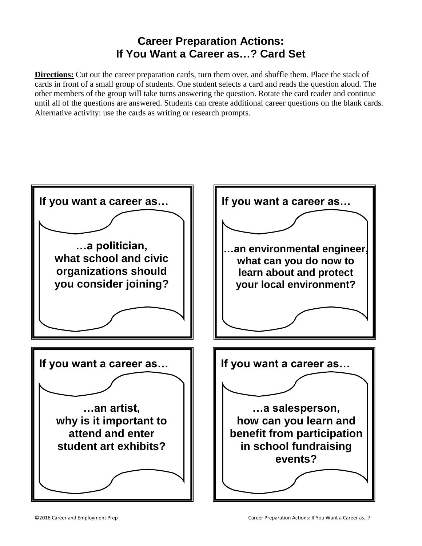## **Career Preparation Actions: If You Want a Career as…? Card Set**

**Directions:** Cut out the career preparation cards, turn them over, and shuffle them. Place the stack of cards in front of a small group of students. One student selects a card and reads the question aloud. The other members of the group will take turns answering the question. Rotate the card reader and continue until all of the questions are answered. Students can create additional career questions on the blank cards. Alternative activity: use the cards as writing or research prompts.

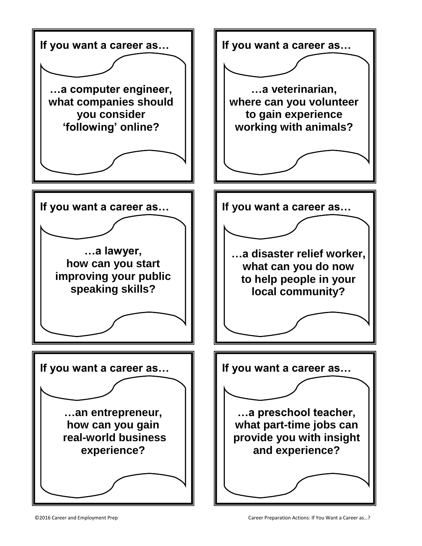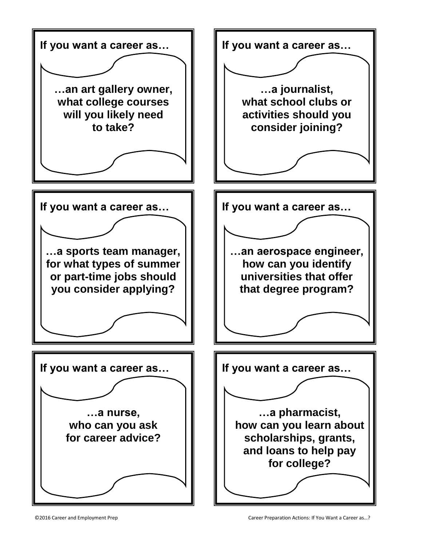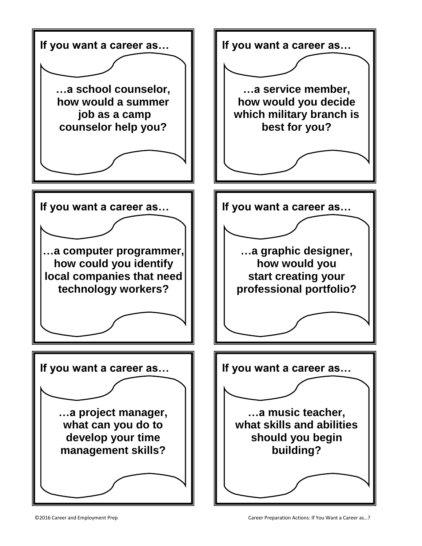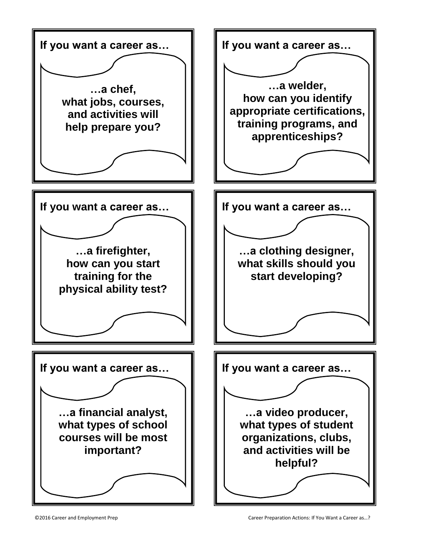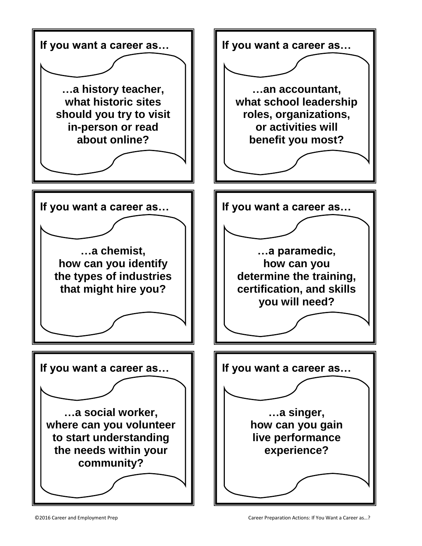